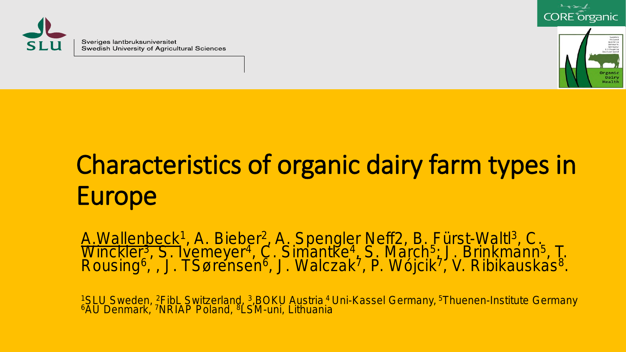

Sveriges lantbruksuniversitet Swedish University of Agricultural Sciences





# Characteristics of organic dairy farm types in Europe

A. Wallenbeck<sup>1</sup>, A. Bieber<sup>2</sup>, A. Spengler Neff2, B. Fürst-Waltl<sup>3</sup>, C. Winckler<sup>3</sup>, S. Ivemeyer<sup>4</sup>, C. Simantke<sup>4</sup>, S. March<sup>5</sup>; J. Brinkmann<sup>5</sup>, T.<br>Rousing<sup>6</sup>, , J. TSørensen<sup>6</sup>, J. Walczak<sup>7</sup>, P. Wójcik<sup>7</sup>, V. Ribikauskas<sup>8</sup>.

<sup>1</sup>SLU Sweden, <sup>2</sup>FibL Switzerland, <sup>3</sup>,BOKU Austria <sup>4</sup> Uni-Kassel Germany, <sup>5</sup>Thuenen-Institute Germany<br><sup>6</sup>AU Denmark, <sup>7</sup>NRIAP Poland, <sup>8</sup>LSM-uni, Lithuania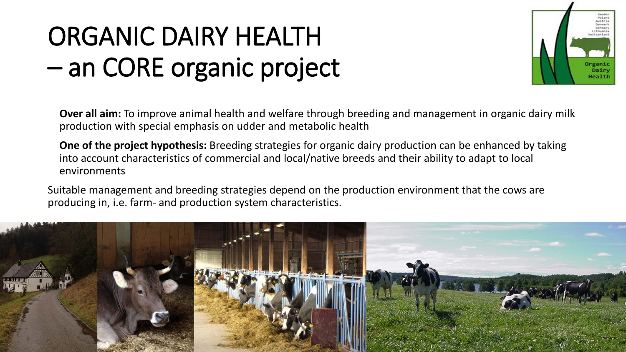## ORGANIC DAIRY HEALTH – an CORE organic project



**Over all aim:** To improve animal health and welfare through breeding and management in organic dairy milk production with special emphasis on udder and metabolic health

**One of the project hypothesis:** Breeding strategies for organic dairy production can be enhanced by taking into account characteristics of commercial and local/native breeds and their ability to adapt to local environments

Suitable management and breeding strategies depend on the production environment that the cows are producing in, i.e. farm- and production system characteristics.

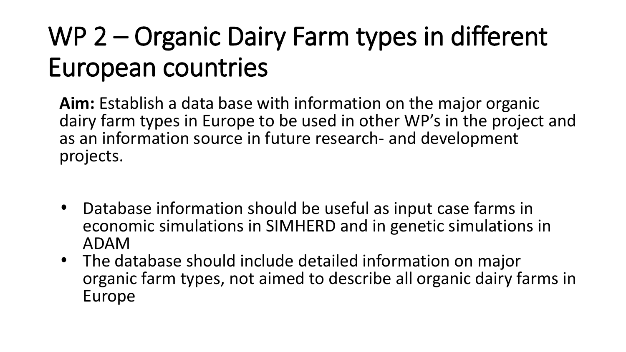## WP 2 – Organic Dairy Farm types in different European countries

**Aim:** Establish a data base with information on the major organic dairy farm types in Europe to be used in other WP's in the project and as an information source in future research- and development projects.

- Database information should be useful as input case farms in economic simulations in SIMHERD and in genetic simulations in ADAM
- The database should include detailed information on major organic farm types, not aimed to describe all organic dairy farms in Europe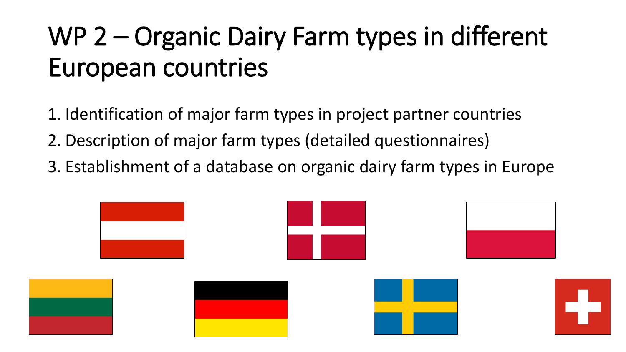## WP 2 – Organic Dairy Farm types in different European countries

- 1. Identification of major farm types in project partner countries
- 2. Description of major farm types (detailed questionnaires)
- 3. Establishment of a database on organic dairy farm types in Europe

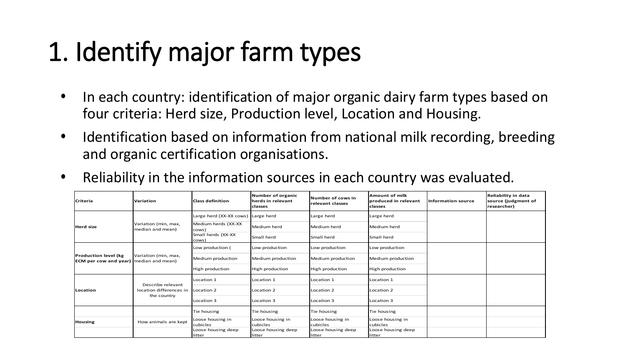# 1. Identify major farm types

- In each country: identification of major organic dairy farm types based on four criteria: Herd size, Production level, Location and Housing.
- Identification based on information from national milk recording, breeding and organic certification organisations.
- Reliability in the information sources in each country was evaluated.

| <b>Criteria</b>                                                       | Variation                                                   | <b>Class definition</b>            | Number of organic<br>herds in relevant<br>classes | Number of cows in<br>relevant classes | <b>Amount of milk</b><br>produced in relevant<br><b>classes</b> | <b>Information source</b> | Reliability in data<br>source (judgment of<br>researcher) |
|-----------------------------------------------------------------------|-------------------------------------------------------------|------------------------------------|---------------------------------------------------|---------------------------------------|-----------------------------------------------------------------|---------------------------|-----------------------------------------------------------|
| <b>Herd size</b>                                                      | Variation (min, max,<br>median and mean)                    | Large herd (XX-XX cows) Large herd |                                                   | Large herd                            | Large herd                                                      |                           |                                                           |
|                                                                       |                                                             | Medium herds (XX-XX<br>cows)       | Medium herd                                       | Medium herd                           | Medium herd                                                     |                           |                                                           |
|                                                                       |                                                             | Small herds (XX-XX<br>cows)        | Small herd                                        | Small herd                            | Small herd                                                      |                           |                                                           |
| Production level (kg<br><b>ECM per cow and year)</b> median and mean) | Variation (min, max,                                        | Low production (                   | Low production                                    | Low production                        | Low production                                                  |                           |                                                           |
|                                                                       |                                                             | Medium production                  | Medium production                                 | Medium production                     | Medium production                                               |                           |                                                           |
|                                                                       |                                                             | High production                    | High production                                   | High production                       | High production                                                 |                           |                                                           |
|                                                                       | Describe relevant<br>location differences in<br>the country | Location 1                         | Location 1                                        | Location 1                            | Location 1                                                      |                           |                                                           |
| Location                                                              |                                                             | Location 2                         | Location 2                                        | Location 2                            | Location 2                                                      |                           |                                                           |
|                                                                       |                                                             | Location 3                         | Location 3                                        | Location 3                            | Location 3                                                      |                           |                                                           |
|                                                                       |                                                             | Tie housing                        | Tie housing                                       | Tie housing                           | Tie housing                                                     |                           |                                                           |
| <b>Housing</b>                                                        | How animals are kept                                        | Loose housing in<br>cubicles       | Loose housing in<br>cubicles                      | Loose housing in<br>cubicles          | Loose housing in<br>cubicles                                    |                           |                                                           |
|                                                                       |                                                             | Loose housing deep<br>litter       | Loose housing deep<br>litter                      | Loose housing deep<br>litter          | Loose housing deep<br><b>Ilitter</b>                            |                           |                                                           |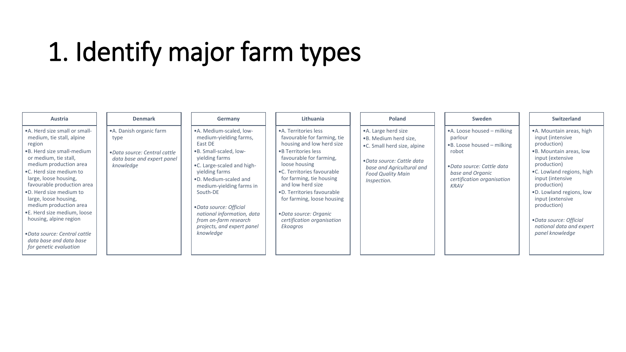#### 1. Identify major farm types

| Austria                                                                                                                                                                                                                                                                                                                                                                                                                                                                | <b>Denmark</b>                                                                                               | Germany                                                                                                                                                                                                                                                                                                                                                | Lithuania                                                                                                                                                                                                                                                                                                                                                            | Poland                                                                                                                                                                             | Sweden                                                                                                                                                               | <b>Switzerland</b>                                                                                                                                                                                                                                                                                                                  |
|------------------------------------------------------------------------------------------------------------------------------------------------------------------------------------------------------------------------------------------------------------------------------------------------------------------------------------------------------------------------------------------------------------------------------------------------------------------------|--------------------------------------------------------------------------------------------------------------|--------------------------------------------------------------------------------------------------------------------------------------------------------------------------------------------------------------------------------------------------------------------------------------------------------------------------------------------------------|----------------------------------------------------------------------------------------------------------------------------------------------------------------------------------------------------------------------------------------------------------------------------------------------------------------------------------------------------------------------|------------------------------------------------------------------------------------------------------------------------------------------------------------------------------------|----------------------------------------------------------------------------------------------------------------------------------------------------------------------|-------------------------------------------------------------------------------------------------------------------------------------------------------------------------------------------------------------------------------------------------------------------------------------------------------------------------------------|
| • A. Herd size small or small-<br>medium, tie stall, alpine<br>region<br>• B. Herd size small-medium<br>or medium, tie stall,<br>medium production area<br>•C. Herd size medium to<br>large, loose housing,<br>favourable production area<br>.D. Herd size medium to<br>large, loose housing,<br>medium production area<br>•E. Herd size medium, loose<br>housing, alpine region<br>• Data source: Central cattle<br>data base and data base<br>for genetic evaluation | • A. Danish organic farm<br>type<br>• Data source: Central cattle<br>data base and expert panel<br>knowledge | •A. Medium-scaled, low-<br>medium-yielding farms,<br>East DE<br>.B. Small-scaled, low-<br>yielding farms<br>.C. Large-scaled and high-<br>yielding farms<br>.D. Medium-scaled and<br>medium-yielding farms in<br>South-DE<br>• Data source: Official<br>national information, data<br>from on-farm research<br>projects, and expert panel<br>knowledge | • A. Territories less<br>favourable for farming, tie<br>housing and low herd size<br>• B Territories less<br>favourable for farming,<br>loose housing<br>•C. Territories favourable<br>for farming, tie housing<br>and low herd size<br>.D. Territories favourable<br>for farming, loose housing<br>• Data source: Organic<br>certification organisation<br>Ekoagros | • A. Large herd size<br>.B. Medium herd size,<br>.C. Small herd size, alpine<br>• Data source: Cattle data<br>base and Agricultural and<br><b>Food Quality Main</b><br>Inspection. | •A. Loose housed – milking<br>parlour<br>•B. Loose housed – milking<br>robot<br>• Data source: Cattle data<br>base and Organic<br>certification organisation<br>KRAV | • A. Mountain areas, high<br>input (intensive<br>production)<br>•B. Mountain areas, low<br>input (extensive<br>production)<br>.C. Lowland regions, high<br>input (intensive<br>production)<br>.D. Lowland regions, low<br>input (extensive<br>production)<br>• Data source: Official<br>national data and expert<br>panel knowledge |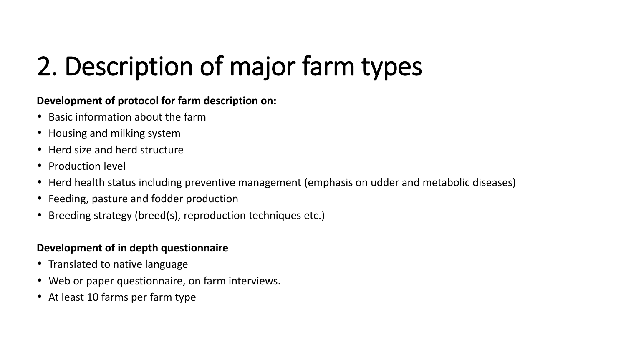# 2. Description of major farm types

#### **Development of protocol for farm description on:**

- Basic information about the farm
- Housing and milking system
- Herd size and herd structure
- Production level
- Herd health status including preventive management (emphasis on udder and metabolic diseases)
- Feeding, pasture and fodder production
- Breeding strategy (breed(s), reproduction techniques etc.)

#### **Development of in depth questionnaire**

- Translated to native language
- Web or paper questionnaire, on farm interviews.
- At least 10 farms per farm type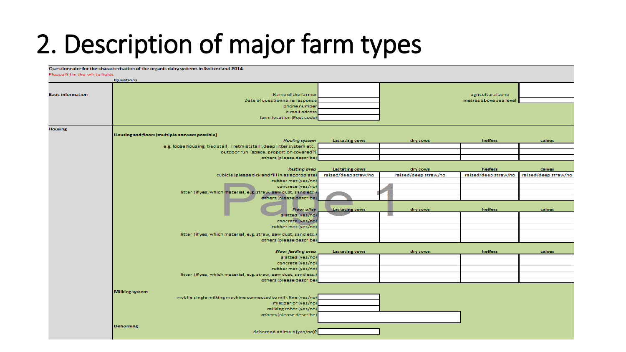#### 2. Description of major farm types

|                                 | Questionnaire for the characterisation of the organic dairy systems in Switzerland 2014 |                       |                      |                        |                      |
|---------------------------------|-----------------------------------------------------------------------------------------|-----------------------|----------------------|------------------------|----------------------|
| Please fill in the white fields |                                                                                         |                       |                      |                        |                      |
|                                 | <b>Questions</b>                                                                        |                       |                      |                        |                      |
|                                 |                                                                                         |                       |                      |                        |                      |
| <b>Basic information</b>        | Name of the farmer                                                                      |                       |                      | agricultural zone      |                      |
|                                 | Date of questionnaire response                                                          |                       |                      | metres above sea level |                      |
|                                 | phone number                                                                            |                       |                      |                        |                      |
|                                 | e-mail adress                                                                           |                       |                      |                        |                      |
|                                 | farm location (Post code)                                                               |                       |                      |                        |                      |
|                                 |                                                                                         |                       |                      |                        |                      |
| <b>Housing</b>                  |                                                                                         |                       |                      |                        |                      |
|                                 | Housing and floors (multiple answers possible)                                          |                       |                      |                        |                      |
|                                 | <b>Houing system</b>                                                                    | <b>Lactating cows</b> | dry cows             | heifers                | calves               |
|                                 | e.g. loose housing, tied stall, Tretmiststalll, deep litter system etc.                 |                       |                      |                        |                      |
|                                 | outdoor run (space, proportion covered?)                                                |                       |                      |                        |                      |
|                                 | others (please describe)                                                                |                       |                      |                        |                      |
|                                 |                                                                                         |                       |                      |                        |                      |
|                                 | <b>Resting area</b>                                                                     | <b>Lactating cows</b> | dry cows             | heifers                | calves               |
|                                 | cubicle (please tick and fill in as appropiate)<br>rubber mat (yes/no)                  | raised/deep straw/no  | raised/deep straw/no | raised/deep straw/no   | raised/deep straw/no |
|                                 | concrete (yes/no)                                                                       |                       |                      |                        |                      |
|                                 | litter (if yes, which material, e.g. straw, saw dust, sand etc.)                        |                       |                      |                        |                      |
|                                 | others (please describe)                                                                |                       |                      |                        |                      |
|                                 |                                                                                         |                       |                      |                        |                      |
|                                 | <b>Floor alley</b>                                                                      | <b>Lactating cows</b> | dry cows             | heifers                | calves               |
|                                 | slatted (yes/no)                                                                        |                       | ٠                    |                        |                      |
|                                 | concrete (yes/no)                                                                       |                       |                      |                        |                      |
|                                 | rubber mat (yes/no)                                                                     |                       |                      |                        |                      |
|                                 | litter (if yes, which material, e.g. straw, saw dust, sand etc.                         |                       |                      |                        |                      |
|                                 | others (please describe)                                                                |                       |                      |                        |                      |
|                                 |                                                                                         |                       |                      |                        |                      |
|                                 | <b>Floor feeding area</b>                                                               | <b>Lactating cows</b> | dry cows             | heifers                | calves               |
|                                 | slatted (yes/no)                                                                        |                       |                      |                        |                      |
|                                 | concrete (yes/no)                                                                       |                       |                      |                        |                      |
|                                 | rubber mat (yes/no)                                                                     |                       |                      |                        |                      |
|                                 | litter (if yes, which material, e.g. straw, saw dust, sand etc.)                        |                       |                      |                        |                      |
|                                 | others (please describe)                                                                |                       |                      |                        |                      |
|                                 |                                                                                         |                       |                      |                        |                      |
|                                 | <b>Milking system</b>                                                                   |                       |                      |                        |                      |
|                                 | moblie single milking machine connected to milk line (yes/no)                           |                       |                      |                        |                      |
|                                 | milk parlor (yes/no)                                                                    |                       |                      |                        |                      |
|                                 | milking robot (yes/no)                                                                  |                       |                      |                        |                      |
|                                 | others (please describe)                                                                |                       |                      |                        |                      |
|                                 |                                                                                         |                       |                      |                        |                      |
|                                 | <b>Dehorning</b>                                                                        |                       |                      |                        |                      |
|                                 | dehorned animals (yes/no)?                                                              |                       |                      |                        |                      |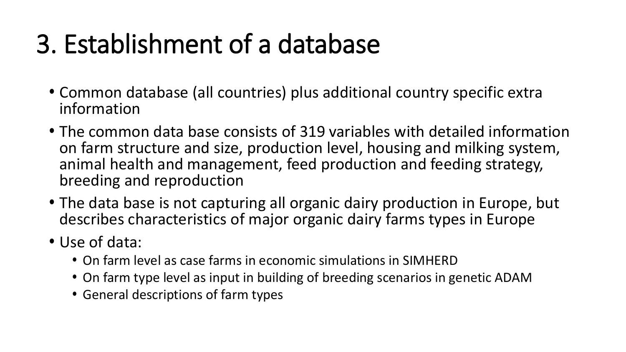## 3. Establishment of a database

- Common database (all countries) plus additional country specific extra information
- The common data base consists of 319 variables with detailed information on farm structure and size, production level, housing and milking system, animal health and management, feed production and feeding strategy, breeding and reproduction
- The data base is not capturing all organic dairy production in Europe, but describes characteristics of major organic dairy farms types in Europe
- Use of data:
	- On farm level as case farms in economic simulations in SIMHERD
	- On farm type level as input in building of breeding scenarios in genetic ADAM
	- General descriptions of farm types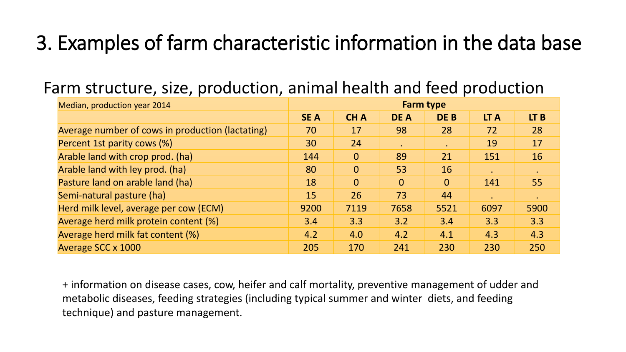#### 3. Examples of farm characteristic information in the data base

| Median, production year 2014                     |            | <b>Farm type</b> |                |                |           |           |  |  |
|--------------------------------------------------|------------|------------------|----------------|----------------|-----------|-----------|--|--|
|                                                  | <b>SEA</b> | <b>CHA</b>       | <b>DE A</b>    | DE B           | LT A      | LT B      |  |  |
| Average number of cows in production (lactating) | 70         | 17               | 98             | 28             | 72        | 28        |  |  |
| Percent 1st parity cows (%)                      | 30         | 24               | $\bullet$      | $\bullet$      | 19        | 17        |  |  |
| Arable land with crop prod. (ha)                 | 144        | $\overline{0}$   | 89             | 21             | 151       | 16        |  |  |
| Arable land with ley prod. (ha)                  | 80         | $\overline{0}$   | 53             | 16             | $\bullet$ | $\bullet$ |  |  |
| Pasture land on arable land (ha)                 | 18         | $\overline{0}$   | $\overline{0}$ | $\overline{0}$ | 141       | 55        |  |  |
| Semi-natural pasture (ha)                        | 15         | 26               | 73             | 44             |           |           |  |  |
| Herd milk level, average per cow (ECM)           | 9200       | 7119             | 7658           | 5521           | 6097      | 5900      |  |  |
| Average herd milk protein content (%)            | 3.4        | 3.3              | 3.2            | 3.4            | 3.3       | 3.3       |  |  |
| Average herd milk fat content (%)                | 4.2        | 4.0              | 4.2            | 4.1            | 4.3       | 4.3       |  |  |
| Average SCC x 1000                               | 205        | 170              | 241            | 230            | 230       | 250       |  |  |

#### Farm structure, size, production, animal health and feed production

+ information on disease cases, cow, heifer and calf mortality, preventive management of udder and metabolic diseases, feeding strategies (including typical summer and winter diets, and feeding technique) and pasture management.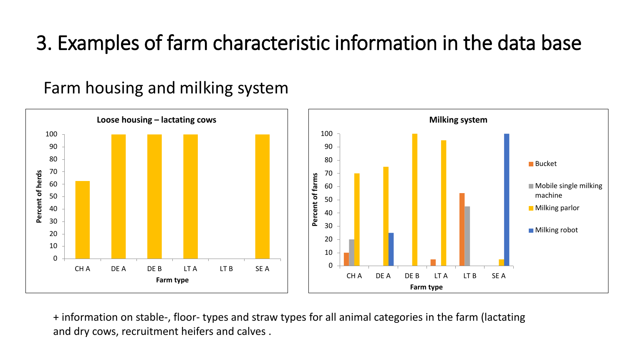#### 3. Examples of farm characteristic information in the data base

Farm housing and milking system



+ information on stable-, floor- types and straw types for all animal categories in the farm (lactating and dry cows, recruitment heifers and calves .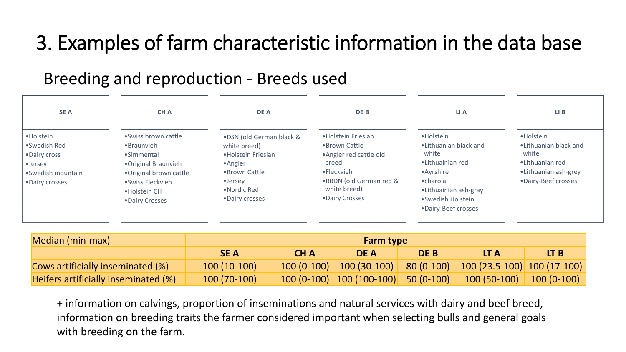#### 3. Examples of farm characteristic information in the data base

#### Breeding and reproduction - Breeds used

| <b>SEA</b>                                                                                            | <b>CHA</b>                                                                                                                                              | <b>DEA</b>                                                                                                                                          | DE B                                                                                                                                                | LI A                                                                                                                                                             | $LI$ B                                                                                                         |
|-------------------------------------------------------------------------------------------------------|---------------------------------------------------------------------------------------------------------------------------------------------------------|-----------------------------------------------------------------------------------------------------------------------------------------------------|-----------------------------------------------------------------------------------------------------------------------------------------------------|------------------------------------------------------------------------------------------------------------------------------------------------------------------|----------------------------------------------------------------------------------------------------------------|
| • Holstein<br>•Swedish Red<br>•Dairy cross<br>$\bullet$ Jersey<br>•Swedish mountain<br>•Dairy crosses | •Swiss brown cattle<br>•Braunvieh<br>•Simmental<br>•Original Braunvieh<br>. Original brown cattle<br>·Swiss Fleckvieh<br>•Holstein CH<br>•Dairy Crosses | .DSN (old German black &<br>white breed)<br>• Holstein Friesian<br>$•$ Angler<br>•Brown Cattle<br>$\bullet$ Jersey<br>•Nordic Red<br>•Dairy crosses | • Holstein Friesian<br>•Brown Cattle<br>• Angler red cattle old<br>breed<br>•Fleckvieh<br>.RBDN (old German red &<br>white breed)<br>•Dairy Crosses | • Holstein<br>•Lithuanian black and<br>white<br>•Lithuainian red<br>• Ayrshire<br>•charolai<br>•Lithuainian ash-gray<br>•Swedish Holstein<br>•Dairy-Beef crosses | • Holstein<br>•Lithuanian black and<br>white<br>•Lithuanian red<br>•Lithuanian ash-grey<br>•Dairy-Beef crosses |

| Median (min-max)                         | <b>Farm type</b> |      |                                          |      |                                                                                     |                     |  |  |
|------------------------------------------|------------------|------|------------------------------------------|------|-------------------------------------------------------------------------------------|---------------------|--|--|
|                                          | <b>SEA</b>       | CH A | <b>DEA</b>                               | DE B | LT A                                                                                | LT B                |  |  |
| <b>Cows artificially inseminated (%)</b> | $100(10-100)$    |      |                                          |      | $\mid$ 100 (0-100) $\mid$ 100 (30-100)   80 (0-100)   100 (23.5-100)   100 (17-100) |                     |  |  |
| Heifers artificially inseminated (%)     | 100 (70-100)     |      | $100 (0-100)$ $100 (100-100)$ 50 (0-100) |      | $\vert$ 100 (50-100) $\vert$                                                        | $\vert$ 100 (0-100) |  |  |

+ information on calvings, proportion of inseminations and natural services with dairy and beef breed, information on breeding traits the farmer considered important when selecting bulls and general goals with breeding on the farm.